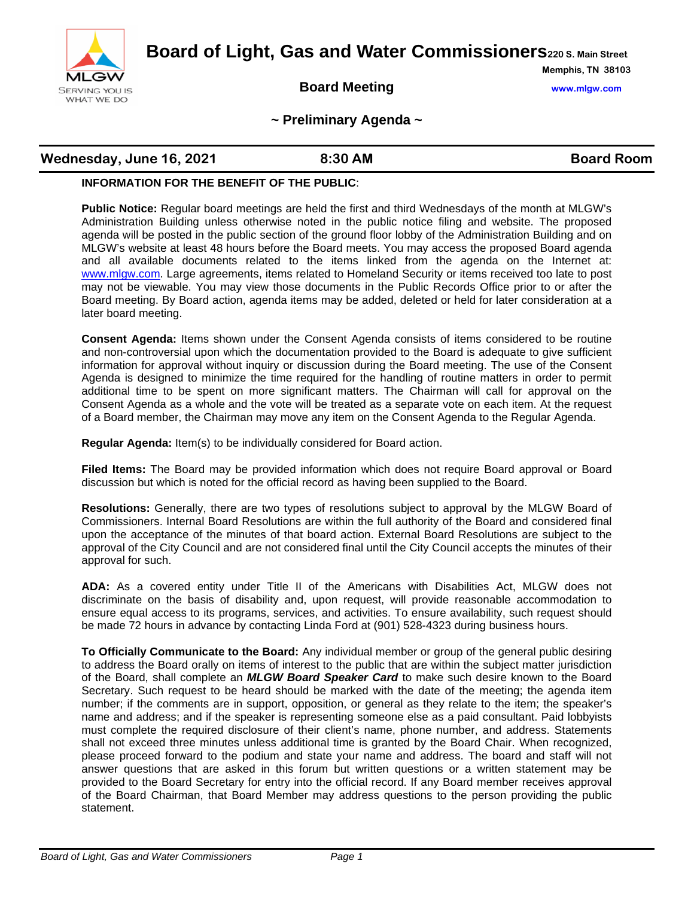

**Board of Light, Gas and Water Commissioners220 S. Main Street**

## **Board Meeting www.mlgw.com**

**Memphis, TN 38103**

#### **~ Preliminary Agenda ~**

# **Wednesday, June 16, 2021 8:30 AM Board Room**

#### **INFORMATION FOR THE BENEFIT OF THE PUBLIC**:

**Public Notice:** Regular board meetings are held the first and third Wednesdays of the month at MLGW's Administration Building unless otherwise noted in the public notice filing and website. The proposed agenda will be posted in the public section of the ground floor lobby of the Administration Building and on MLGW's website at least 48 hours before the Board meets. You may access the proposed Board agenda and all available documents related to the items linked from the agenda on the Internet at: [www.mlgw.com.](http://www.mlgw.com/) Large agreements, items related to Homeland Security or items received too late to post may not be viewable. You may view those documents in the Public Records Office prior to or after the Board meeting. By Board action, agenda items may be added, deleted or held for later consideration at a later board meeting.

**Consent Agenda:** Items shown under the Consent Agenda consists of items considered to be routine and non-controversial upon which the documentation provided to the Board is adequate to give sufficient information for approval without inquiry or discussion during the Board meeting. The use of the Consent Agenda is designed to minimize the time required for the handling of routine matters in order to permit additional time to be spent on more significant matters. The Chairman will call for approval on the Consent Agenda as a whole and the vote will be treated as a separate vote on each item. At the request of a Board member, the Chairman may move any item on the Consent Agenda to the Regular Agenda.

**Regular Agenda:** Item(s) to be individually considered for Board action.

**Filed Items:** The Board may be provided information which does not require Board approval or Board discussion but which is noted for the official record as having been supplied to the Board.

**Resolutions:** Generally, there are two types of resolutions subject to approval by the MLGW Board of Commissioners. Internal Board Resolutions are within the full authority of the Board and considered final upon the acceptance of the minutes of that board action. External Board Resolutions are subject to the approval of the City Council and are not considered final until the City Council accepts the minutes of their approval for such.

**ADA:** As a covered entity under Title II of the Americans with Disabilities Act, MLGW does not discriminate on the basis of disability and, upon request, will provide reasonable accommodation to ensure equal access to its programs, services, and activities. To ensure availability, such request should be made 72 hours in advance by contacting Linda Ford at (901) 528-4323 during business hours.

**To Officially Communicate to the Board:** Any individual member or group of the general public desiring to address the Board orally on items of interest to the public that are within the subject matter jurisdiction of the Board, shall complete an *MLGW Board Speaker Card* to make such desire known to the Board Secretary. Such request to be heard should be marked with the date of the meeting; the agenda item number; if the comments are in support, opposition, or general as they relate to the item; the speaker's name and address; and if the speaker is representing someone else as a paid consultant. Paid lobbyists must complete the required disclosure of their client's name, phone number, and address. Statements shall not exceed three minutes unless additional time is granted by the Board Chair. When recognized, please proceed forward to the podium and state your name and address. The board and staff will not answer questions that are asked in this forum but written questions or a written statement may be provided to the Board Secretary for entry into the official record. If any Board member receives approval of the Board Chairman, that Board Member may address questions to the person providing the public statement.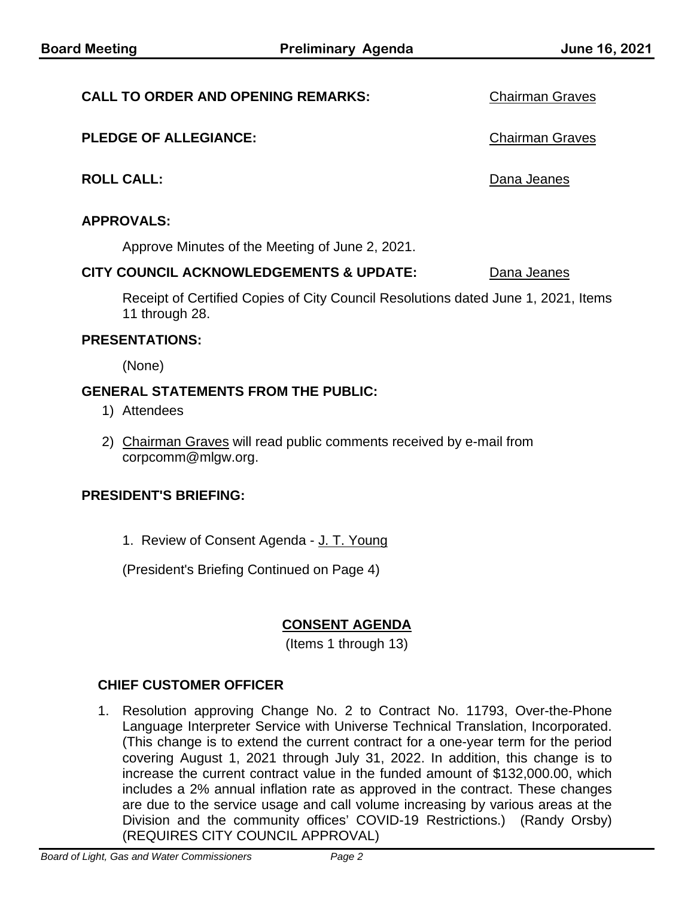#### **CALL TO ORDER AND OPENING REMARKS:** Chairman Graves

#### **PLEDGE OF ALLEGIANCE:** Chairman Graves

**ROLL CALL:** Dana Jeanes

#### **APPROVALS:**

Approve Minutes of the Meeting of June 2, 2021.

#### **CITY COUNCIL ACKNOWLEDGEMENTS & UPDATE:** Dana Jeanes

Receipt of Certified Copies of City Council Resolutions dated June 1, 2021, Items 11 through 28.

#### **PRESENTATIONS:**

(None)

#### **GENERAL STATEMENTS FROM THE PUBLIC:**

- 1) Attendees
- 2) Chairman Graves will read public comments received by e-mail from corpcomm@mlgw.org.

#### **PRESIDENT'S BRIEFING:**

1. Review of Consent Agenda - J. T. Young

(President's Briefing Continued on Page 4)

# **CONSENT AGENDA**

(Items 1 through 13)

## **CHIEF CUSTOMER OFFICER**

1. Resolution approving Change No. 2 to Contract No. 11793, Over-the-Phone Language Interpreter Service with Universe Technical Translation, Incorporated. (This change is to extend the current contract for a one-year term for the period covering August 1, 2021 through July 31, 2022. In addition, this change is to increase the current contract value in the funded amount of \$132,000.00, which includes a 2% annual inflation rate as approved in the contract. These changes are due to the service usage and call volume increasing by various areas at the Division and the community offices' COVID-19 Restrictions.) (Randy Orsby) (REQUIRES CITY COUNCIL APPROVAL)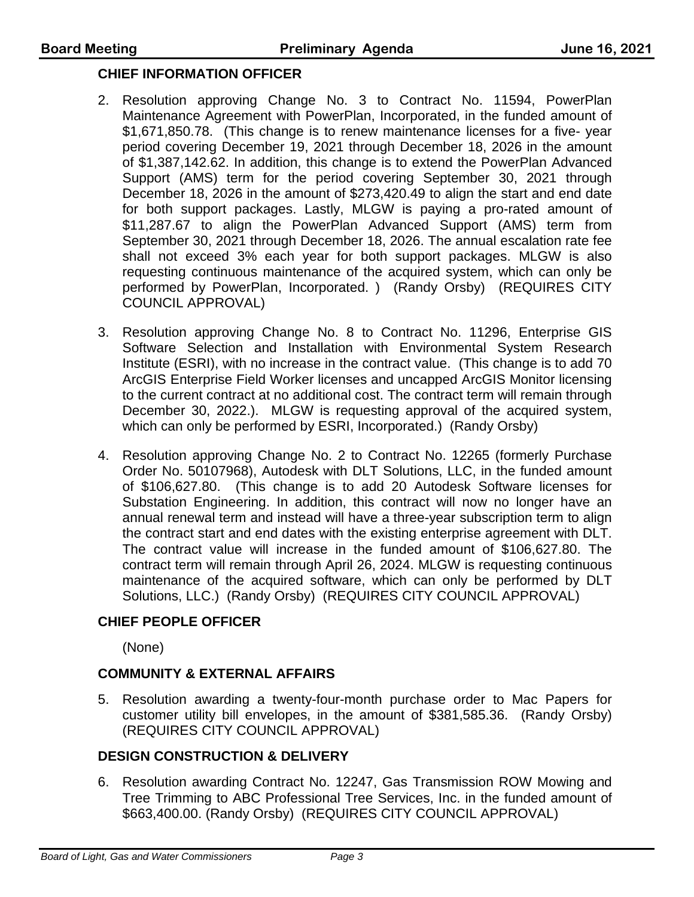## **CHIEF INFORMATION OFFICER**

- 2. Resolution approving Change No. 3 to Contract No. 11594, PowerPlan Maintenance Agreement with PowerPlan, Incorporated, in the funded amount of \$1,671,850.78. (This change is to renew maintenance licenses for a five- year period covering December 19, 2021 through December 18, 2026 in the amount of \$1,387,142.62. In addition, this change is to extend the PowerPlan Advanced Support (AMS) term for the period covering September 30, 2021 through December 18, 2026 in the amount of \$273,420.49 to align the start and end date for both support packages. Lastly, MLGW is paying a pro-rated amount of \$11,287.67 to align the PowerPlan Advanced Support (AMS) term from September 30, 2021 through December 18, 2026. The annual escalation rate fee shall not exceed 3% each year for both support packages. MLGW is also requesting continuous maintenance of the acquired system, which can only be performed by PowerPlan, Incorporated. ) (Randy Orsby) (REQUIRES CITY COUNCIL APPROVAL)
- 3. Resolution approving Change No. 8 to Contract No. 11296, Enterprise GIS Software Selection and Installation with Environmental System Research Institute (ESRI), with no increase in the contract value. (This change is to add 70 ArcGIS Enterprise Field Worker licenses and uncapped ArcGIS Monitor licensing to the current contract at no additional cost. The contract term will remain through December 30, 2022.). MLGW is requesting approval of the acquired system, which can only be performed by ESRI, Incorporated.) (Randy Orsby)
- 4. Resolution approving Change No. 2 to Contract No. 12265 (formerly Purchase Order No. 50107968), Autodesk with DLT Solutions, LLC, in the funded amount of \$106,627.80. (This change is to add 20 Autodesk Software licenses for Substation Engineering. In addition, this contract will now no longer have an annual renewal term and instead will have a three-year subscription term to align the contract start and end dates with the existing enterprise agreement with DLT. The contract value will increase in the funded amount of \$106,627.80. The contract term will remain through April 26, 2024. MLGW is requesting continuous maintenance of the acquired software, which can only be performed by DLT Solutions, LLC.) (Randy Orsby) (REQUIRES CITY COUNCIL APPROVAL)

## **CHIEF PEOPLE OFFICER**

(None)

## **COMMUNITY & EXTERNAL AFFAIRS**

5. Resolution awarding a twenty-four-month purchase order to Mac Papers for customer utility bill envelopes, in the amount of \$381,585.36. (Randy Orsby) (REQUIRES CITY COUNCIL APPROVAL)

# **DESIGN CONSTRUCTION & DELIVERY**

6. Resolution awarding Contract No. 12247, Gas Transmission ROW Mowing and Tree Trimming to ABC Professional Tree Services, Inc. in the funded amount of \$663,400.00. (Randy Orsby) (REQUIRES CITY COUNCIL APPROVAL)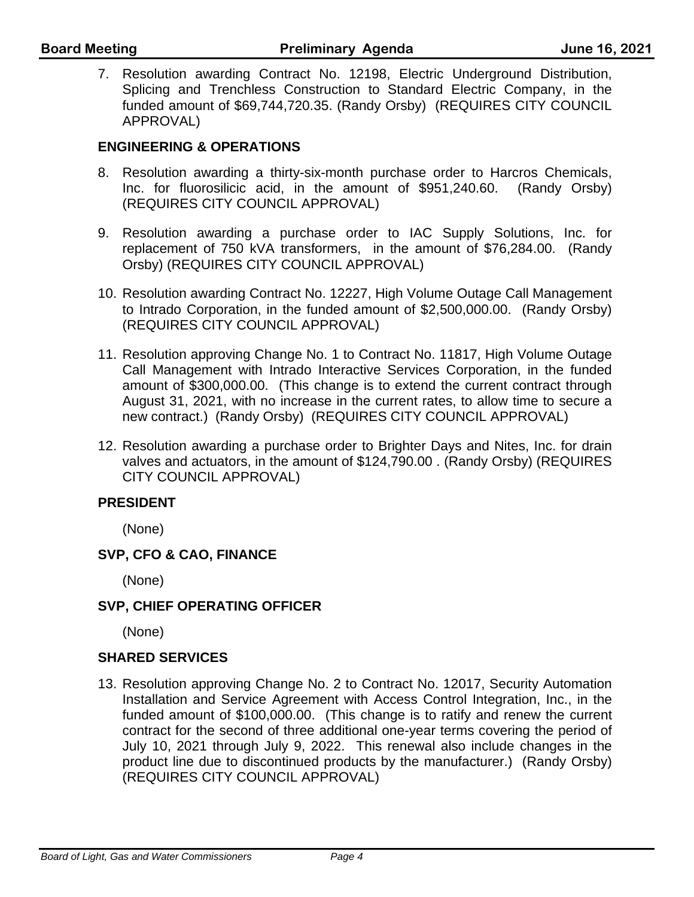7. Resolution awarding Contract No. 12198, Electric Underground Distribution, Splicing and Trenchless Construction to Standard Electric Company, in the funded amount of \$69,744,720.35. (Randy Orsby) (REQUIRES CITY COUNCIL APPROVAL)

# **ENGINEERING & OPERATIONS**

- 8. Resolution awarding a thirty-six-month purchase order to Harcros Chemicals, Inc. for fluorosilicic acid, in the amount of \$951,240.60. (Randy Orsby) (REQUIRES CITY COUNCIL APPROVAL)
- 9. Resolution awarding a purchase order to IAC Supply Solutions, Inc. for replacement of 750 kVA transformers, in the amount of \$76,284.00. (Randy Orsby) (REQUIRES CITY COUNCIL APPROVAL)
- 10. Resolution awarding Contract No. 12227, High Volume Outage Call Management to Intrado Corporation, in the funded amount of \$2,500,000.00. (Randy Orsby) (REQUIRES CITY COUNCIL APPROVAL)
- 11. Resolution approving Change No. 1 to Contract No. 11817, High Volume Outage Call Management with Intrado Interactive Services Corporation, in the funded amount of \$300,000.00. (This change is to extend the current contract through August 31, 2021, with no increase in the current rates, to allow time to secure a new contract.) (Randy Orsby) (REQUIRES CITY COUNCIL APPROVAL)
- 12. Resolution awarding a purchase order to Brighter Days and Nites, Inc. for drain valves and actuators, in the amount of \$124,790.00 . (Randy Orsby) (REQUIRES CITY COUNCIL APPROVAL)

# **PRESIDENT**

(None)

# **SVP, CFO & CAO, FINANCE**

(None)

# **SVP, CHIEF OPERATING OFFICER**

(None)

## **SHARED SERVICES**

13. Resolution approving Change No. 2 to Contract No. 12017, Security Automation Installation and Service Agreement with Access Control Integration, Inc., in the funded amount of \$100,000.00. (This change is to ratify and renew the current contract for the second of three additional one-year terms covering the period of July 10, 2021 through July 9, 2022. This renewal also include changes in the product line due to discontinued products by the manufacturer.) (Randy Orsby) (REQUIRES CITY COUNCIL APPROVAL)